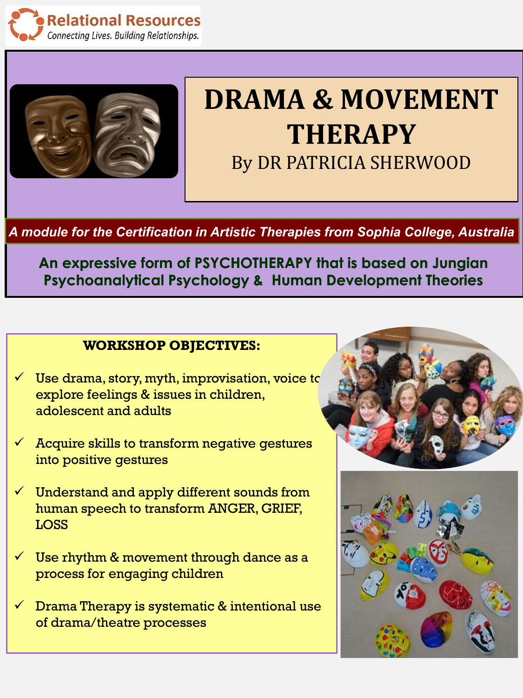



## **DRAMA & MOVEMENT THERAPY**  By DR PATRICIA SHERWOOD

*A module for the Certification in Artistic Therapies from Sophia College, Australia* 

**An expressive form of PSYCHOTHERAPY that is based on Jungian Psychoanalytical Psychology & Human Development Theories** 

## **WORKSHOP OBJECTIVES:**

- $\checkmark$  Use drama, story, myth, improvisation, voice to explore feelings & issues in children, adolescent and adults
- $\checkmark$  Acquire skills to transform negative gestures into positive gestures
- $\checkmark$  Understand and apply different sounds from human speech to transform ANGER, GRIEF, LOSS
- $\checkmark$  Use rhythm & movement through dance as a process for engaging children
- $\checkmark$  Drama Therapy is systematic & intentional use of drama/theatre processes



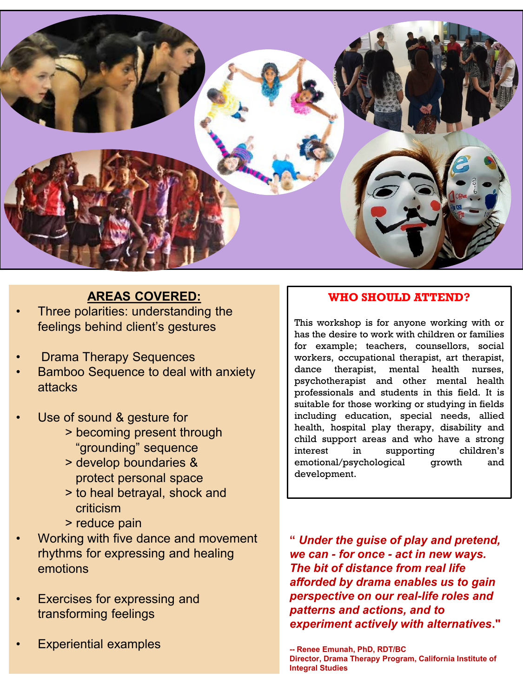

## **AREAS COVERED:**

- Three polarities: understanding the feelings behind client's gestures
- **Drama Therapy Sequences**
- Bamboo Sequence to deal with anxiety attacks
- Use of sound & gesture for
	- > becoming present through "grounding" sequence
	- > develop boundaries & protect personal space
	- > to heal betrayal, shock and criticism
	- > reduce pain
- Working with five dance and movement rhythms for expressing and healing emotions
- **Exercises for expressing and** transforming feelings
- **Experiential examples**

## **WHO SHOULD ATTEND?**

This workshop is for anyone working with or has the desire to work with children or families for example; teachers, counsellors, social workers, occupational therapist, art therapist, dance therapist, mental health nurses, psychotherapist and other mental health professionals and students in this field. It is suitable for those working or studying in fields including education, special needs, allied health, hospital play therapy, disability and child support areas and who have a strong interest in supporting children's emotional/psychological growth and development.

**"** *Under the guise of play and pretend, we can - for once - act in new ways. The bit of distance from real life afforded by drama enables us to gain perspective on our real-life roles and patterns and actions, and to experiment actively with alternatives***."**

**<sup>--</sup> Renee Emunah, PhD, RDT/BC Director, Drama Therapy Program, California Institute of Integral Studies**